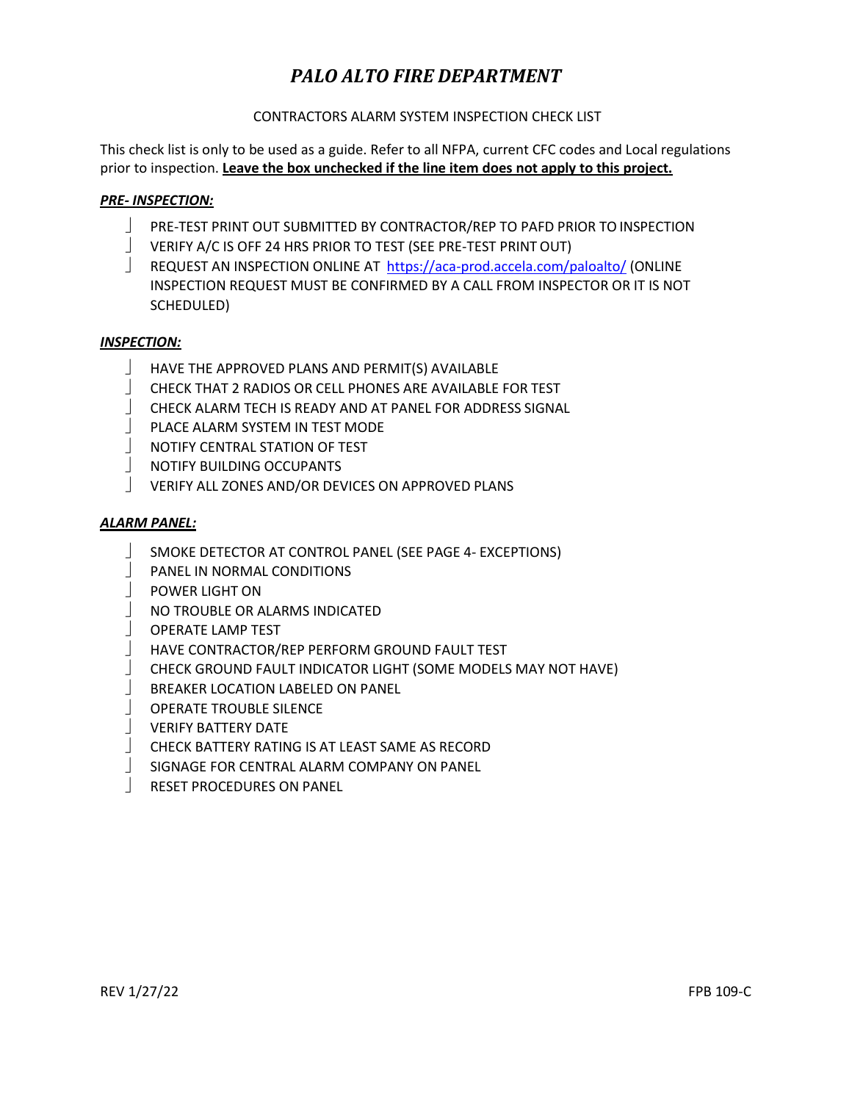# *PALO ALTO FIRE DEPARTMENT*

## CONTRACTORS ALARM SYSTEM INSPECTION CHECK LIST

This check list is only to be used as a guide. Refer to all NFPA, current CFC codes and Local regulations prior to inspection. **Leave the box unchecked if the line item does not apply to this project.**

### *PRE‐ INSPECTION:*

- PRE-TEST PRINT OUT SUBMITTED BY CONTRACTOR/REP TO PAFD PRIOR TO INSPECTION
- VERIFY A/C IS OFF 24 HRS PRIOR TO TEST (SEE PRE-TEST PRINT OUT)
- REQUEST AN INSPECTION ONLINE AT <https://aca-prod.accela.com/paloalto/> (ONLINE INSPECTION REQUEST MUST BE CONFIRMED BY A CALL FROM INSPECTOR OR IT IS NOT SCHEDULED)

### *INSPECTION:*

- HAVE THE APPROVED PLANS AND PERMIT(S) AVAILABLE
- CHECK THAT 2 RADIOS OR CELL PHONES ARE AVAILABLE FOR TEST
- CHECK ALARM TECH IS READY AND AT PANEL FOR ADDRESS SIGNAL
- PLACE ALARM SYSTEM IN TEST MODE
- NOTIFY CENTRAL STATION OF TEST
- **NOTIFY BUILDING OCCUPANTS**
- VERIFY ALL ZONES AND/OR DEVICES ON APPROVED PLANS

### *ALARM PANEL:*

- SMOKE DETECTOR AT CONTROL PANEL (SEE PAGE 4‐ EXCEPTIONS)
- PANEL IN NORMAL CONDITIONS
- **POWER LIGHT ON**
- NO TROUBLE OR ALARMS INDICATED
- OPERATE LAMP TEST
- HAVE CONTRACTOR/REP PERFORM GROUND FAULT TEST
- CHECK GROUND FAULT INDICATOR LIGHT (SOME MODELS MAY NOT HAVE)
- BREAKER LOCATION LABELED ON PANEL
- OPERATE TROUBLE SILENCE
- VERIFY BATTERY DATE
- CHECK BATTERY RATING IS AT LEAST SAME AS RECORD
- SIGNAGE FOR CENTRAL ALARM COMPANY ON PANEL
- RESET PROCEDURES ON PANEL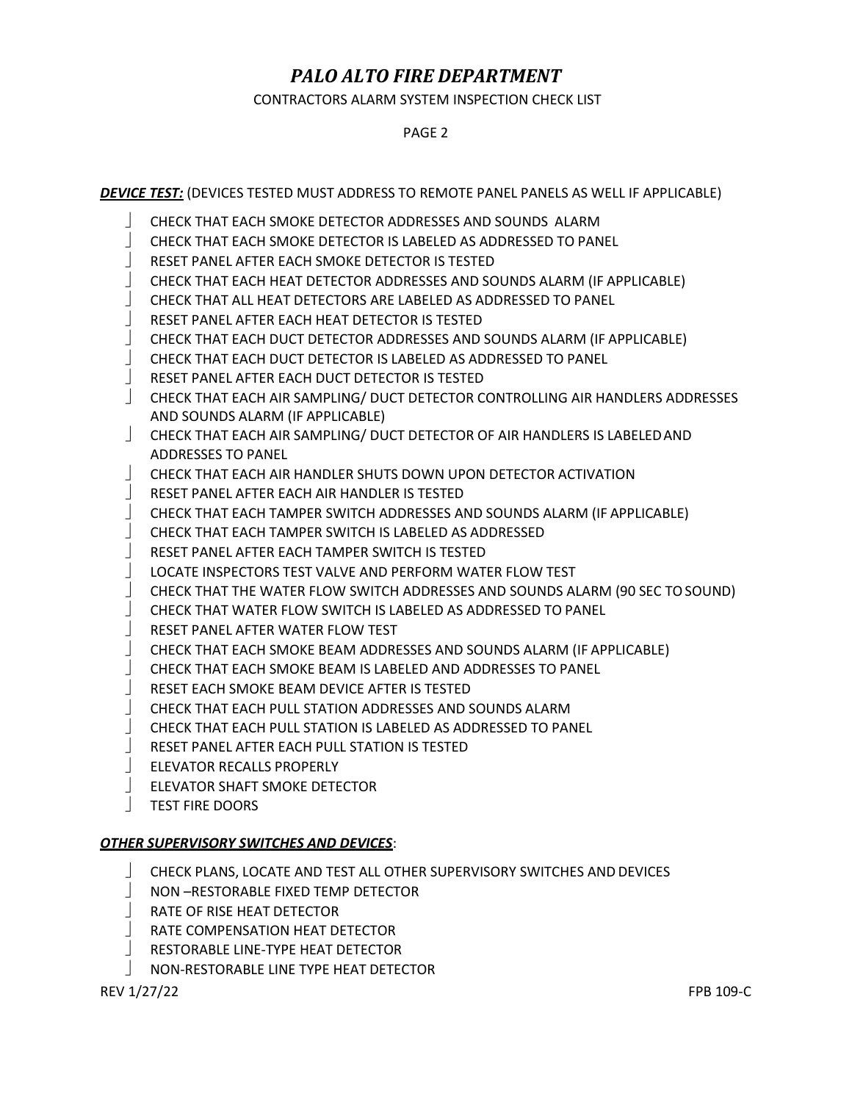# *PALO ALTO FIRE DEPARTMENT*

CONTRACTORS ALARM SYSTEM INSPECTION CHECK LIST

#### PAGE 2

*DEVICE TEST:* (DEVICES TESTED MUST ADDRESS TO REMOTE PANEL PANELS AS WELL IF APPLICABLE)

- CHECK THAT EACH SMOKE DETECTOR ADDRESSES AND SOUNDS ALARM
- CHECK THAT EACH SMOKE DETECTOR IS LABELED AS ADDRESSED TO PANEL
- RESET PANEL AFTER EACH SMOKE DETECTOR IS TESTED
- CHECK THAT EACH HEAT DETECTOR ADDRESSES AND SOUNDS ALARM (IF APPLICABLE)
- CHECK THAT ALL HEAT DETECTORS ARE LABELED AS ADDRESSED TO PANEL
- RESET PANEL AFTER EACH HEAT DETECTOR IS TESTED
- CHECK THAT EACH DUCT DETECTOR ADDRESSES AND SOUNDS ALARM (IF APPLICABLE)
- CHECK THAT EACH DUCT DETECTOR IS LABELED AS ADDRESSED TO PANEL
- RESET PANEL AFTER EACH DUCT DETECTOR IS TESTED
- CHECK THAT EACH AIR SAMPLING/ DUCT DETECTOR CONTROLLING AIR HANDLERS ADDRESSES AND SOUNDS ALARM (IF APPLICABLE)
- CHECK THAT EACH AIR SAMPLING/ DUCT DETECTOR OF AIR HANDLERS IS LABELEDAND ADDRESSES TO PANEL
- CHECK THAT EACH AIR HANDLER SHUTS DOWN UPON DETECTOR ACTIVATION
- RESET PANEL AFTER EACH AIR HANDLER IS TESTED
- CHECK THAT EACH TAMPER SWITCH ADDRESSES AND SOUNDS ALARM (IF APPLICABLE)
- CHECK THAT EACH TAMPER SWITCH IS LABELED AS ADDRESSED
- RESET PANEL AFTER EACH TAMPER SWITCH IS TESTED
- LOCATE INSPECTORS TEST VALVE AND PERFORM WATER FLOW TEST
- CHECK THAT THE WATER FLOW SWITCH ADDRESSES AND SOUNDS ALARM (90 SEC TOSOUND)
- CHECK THAT WATER FLOW SWITCH IS LABELED AS ADDRESSED TO PANEL
- RESET PANEL AFTER WATER FLOW TEST
- CHECK THAT EACH SMOKE BEAM ADDRESSES AND SOUNDS ALARM (IF APPLICABLE)
- CHECK THAT EACH SMOKE BEAM IS LABELED AND ADDRESSES TO PANEL
- RESET EACH SMOKE BEAM DEVICE AFTER IS TESTED
- CHECK THAT EACH PULL STATION ADDRESSES AND SOUNDS ALARM
- CHECK THAT EACH PULL STATION IS LABELED AS ADDRESSED TO PANEL
- RESET PANEL AFTER EACH PULL STATION IS TESTED
- ELEVATOR RECALLS PROPERLY
- ELEVATOR SHAFT SMOKE DETECTOR
- TEST FIRE DOORS

### *OTHER SUPERVISORY SWITCHES AND DEVICES*:

- CHECK PLANS, LOCATE AND TEST ALL OTHER SUPERVISORY SWITCHES AND DEVICES
- NON –RESTORABLE FIXED TEMP DETECTOR
- RATE OF RISE HEAT DETECTOR
- RATE COMPENSATION HEAT DETECTOR
- RESTORABLE LINE‐TYPE HEAT DETECTOR
- NON‐RESTORABLE LINE TYPE HEAT DETECTOR

REV 1/27/22 FPB 109‐C